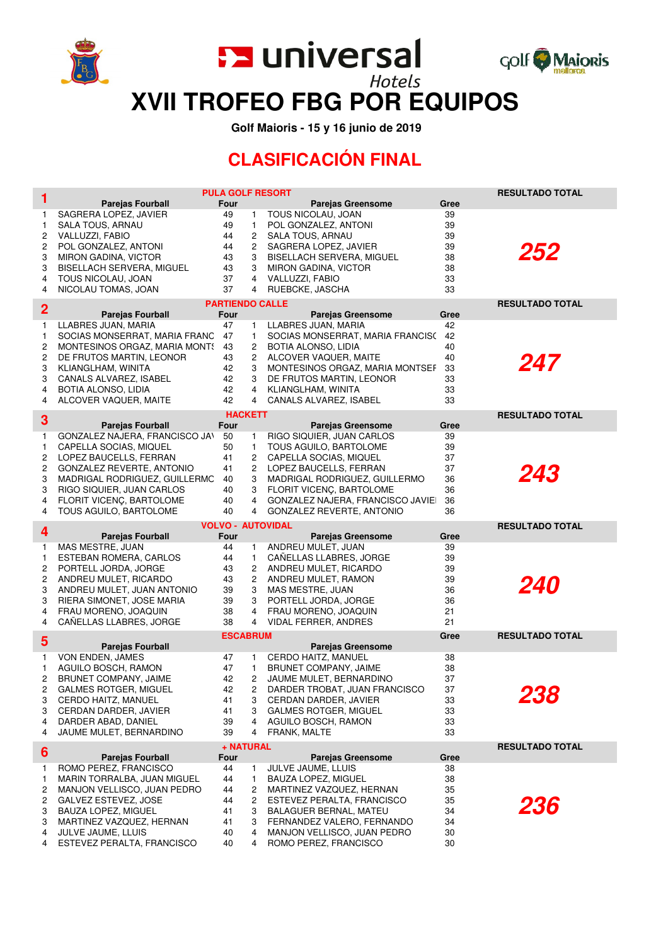

**En universal** 



**XVII TROFEO FBG POR EQUIPOS**

 **Golf Maioris - 15 y 16 junio de 2019**

## **CLASIFICACIÓN FINAL**

| 1              |                                                            | <b>PULA GOLF RESORT</b> |                     |                                                           |          | <b>RESULTADO TOTAL</b> |
|----------------|------------------------------------------------------------|-------------------------|---------------------|-----------------------------------------------------------|----------|------------------------|
|                | <b>Parejas Fourball</b>                                    | Four                    |                     | <b>Parejas Greensome</b>                                  | Gree     |                        |
| 1<br>1         | SAGRERA LOPEZ, JAVIER<br>SALA TOUS, ARNAU                  | 49<br>49                | 1.<br>1             | TOUS NICOLAU, JOAN<br>POL GONZALEZ, ANTONI                | 39<br>39 |                        |
| 2              | VALLUZZI, FABIO                                            | 44                      | $\overline{c}$      | SALA TOUS, ARNAU                                          | 39       |                        |
| 2              | POL GONZALEZ, ANTONI                                       | 44                      | 2                   | SAGRERA LOPEZ, JAVIER                                     | 39       |                        |
| 3              | MIRON GADINA, VICTOR                                       | 43                      | 3                   | BISELLACH SERVERA, MIGUEL                                 | 38       | 252                    |
| 3              | BISELLACH SERVERA, MIGUEL                                  | 43                      | 3                   | MIRON GADINA, VICTOR                                      | 38       |                        |
| 4<br>4         | TOUS NICOLAU, JOAN<br>NICOLAU TOMAS, JOAN                  | 37<br>37                | 4<br>4              | VALLUZZI, FABIO<br>RUEBCKE, JASCHA                        | 33<br>33 |                        |
|                |                                                            | <b>PARTIENDO CALLE</b>  |                     |                                                           |          | <b>RESULTADO TOTAL</b> |
| $\overline{2}$ | <b>Parejas Fourball</b>                                    | Four                    |                     | <b>Parejas Greensome</b>                                  | Gree     |                        |
| 1              | LLABRES JUAN, MARIA                                        | 47                      | 1.                  | LLABRES JUAN, MARIA                                       | 42       |                        |
| 1              | SOCIAS MONSERRAT, MARIA FRANC                              | 47                      | 1.                  | SOCIAS MONSERRAT, MARIA FRANCISO                          | 42       |                        |
| 2<br>2         | MONTESINOS ORGAZ, MARIA MONTS<br>DE FRUTOS MARTIN, LEONOR  | 43<br>43                | $\overline{c}$<br>2 | BOTIA ALONSO, LIDIA<br>ALCOVER VAQUER, MAITE              | 40<br>40 |                        |
| 3              | KLIANGLHAM, WINITA                                         | 42                      | 3                   | MONTESINOS ORGAZ, MARIA MONTSEF                           | 33       | 247                    |
| 3              | CANALS ALVAREZ, ISABEL                                     | 42                      | 3                   | DE FRUTOS MARTIN, LEONOR                                  | 33       |                        |
| 4              | BOTIA ALONSO, LIDIA                                        | 42                      | 4                   | KLIANGLHAM, WINITA                                        | 33       |                        |
| 4              | ALCOVER VAQUER, MAITE                                      | 42                      | 4                   | CANALS ALVAREZ, ISABEL                                    | 33       |                        |
| 3              | <b>Parejas Fourball</b>                                    | <b>HACKETT</b><br>Four  |                     | <b>Parejas Greensome</b>                                  | Gree     | <b>RESULTADO TOTAL</b> |
| 1              | GONZALEZ NAJERA, FRANCISCO JAN                             | 50                      | 1.                  | RIGO SIQUIER, JUAN CARLOS                                 | 39       |                        |
| 1              | CAPELLA SOCIAS, MIQUEL                                     | 50                      | 1                   | TOUS AGUILO, BARTOLOME                                    | 39       |                        |
| 2              | LOPEZ BAUCELLS, FERRAN                                     | 41                      | $\overline{c}$      | CAPELLA SOCIAS, MIQUEL                                    | 37       |                        |
| 2              | GONZALEZ REVERTE, ANTONIO                                  | 41                      | $\overline{c}$      | LOPEZ BAUCELLS, FERRAN                                    | 37       | 243                    |
| 3<br>3         | MADRIGAL RODRIGUEZ, GUILLERMC<br>RIGO SIQUIER, JUAN CARLOS | 40<br>40                | 3<br>3              | MADRIGAL RODRIGUEZ, GUILLERMO<br>FLORIT VICENC, BARTOLOME | 36<br>36 |                        |
| 4              | FLORIT VICENÇ, BARTOLOME                                   | 40                      | 4                   | GONZALEZ NAJERA, FRANCISCO JAVIEI                         | 36       |                        |
| 4              | TOUS AGUILO, BARTOLOME                                     | 40                      | 4                   | GONZALEZ REVERTE, ANTONIO                                 | 36       |                        |
|                |                                                            |                         |                     | <b>VOLVO - AUTOVIDAL</b>                                  |          | <b>RESULTADO TOTAL</b> |
|                |                                                            |                         |                     |                                                           |          |                        |
| 4              | <b>Parejas Fourball</b>                                    | Four                    |                     | <b>Parejas Greensome</b>                                  | Gree     |                        |
| 1              | MAS MESTRE, JUAN                                           | 44                      | $\mathbf{1}$        | ANDREU MULET, JUAN                                        | 39       |                        |
| 1<br>2         | ESTEBAN ROMERA, CARLOS<br>PORTELL JORDA, JORGE             | 44<br>43                | $\mathbf{1}$<br>2   | CAÑELLAS LLABRES, JORGE                                   | 39<br>39 |                        |
| 2              | ANDREU MULET, RICARDO                                      | 43                      | $\overline{c}$      | ANDREU MULET, RICARDO<br>ANDREU MULET, RAMON              | 39       |                        |
| 3              | ANDREU MULET, JUAN ANTONIO                                 | 39                      | 3                   | MAS MESTRE, JUAN                                          | 36       | <i>240</i>             |
| 3              | RIERA SIMONET, JOSE MARIA                                  | 39                      | 3                   | PORTELL JORDA, JORGE                                      | 36       |                        |
| 4<br>4         | FRAU MORENO, JOAQUIN                                       | 38<br>38                | 4<br>4              | FRAU MORENO, JOAQUIN                                      | 21<br>21 |                        |
|                | CAÑELLAS LLABRES, JORGE                                    | <b>ESCABRUM</b>         |                     | VIDAL FERRER, ANDRES                                      | Gree     | <b>RESULTADO TOTAL</b> |
| 5              | <b>Parejas Fourball</b>                                    |                         |                     | Parejas Greensome                                         |          |                        |
| 1.             | VON ENDEN, JAMES                                           | 47                      | 1.                  | CERDO HAITZ, MANUEL                                       | 38       |                        |
| 1              | AGUILO BOSCH, RAMON                                        | 47                      | 1.                  | BRUNET COMPANY, JAIME                                     | 38       |                        |
| 2<br>2         | <b>BRUNET COMPANY, JAIME</b>                               | 42                      | $\overline{c}$<br>2 | JAUME MULET, BERNARDINO                                   | 37       |                        |
| 3              | GALMES ROTGER, MIGUEL<br>CERDO HAITZ, MANUEL               | 42<br>41                | 3                   | DARDER TROBAT, JUAN FRANCISCO<br>CERDAN DARDER, JAVIER    | 37<br>33 | 238                    |
| 3              | CERDAN DARDER, JAVIER                                      | 41                      | 3                   | <b>GALMES ROTGER, MIGUEL</b>                              | 33       |                        |
| 4              | DARDER ABAD, DANIEL                                        | 39                      | 4                   | AGUILO BOSCH, RAMON                                       | 33       |                        |
| 4              | JAUME MULET, BERNARDINO                                    | 39                      | 4                   | FRANK, MALTE                                              | 33       |                        |
| 6              | <b>Parejas Fourball</b>                                    | + NATURAL<br>Four       |                     | <b>Parejas Greensome</b>                                  | Gree     | <b>RESULTADO TOTAL</b> |
| 1.             | ROMO PEREZ, FRANCISCO                                      | 44                      | 1.                  | JULVE JAUME, LLUIS                                        | 38       |                        |
| 1              | MARIN TORRALBA, JUAN MIGUEL                                | 44                      | 1                   | BAUZA LOPEZ, MIGUEL                                       | 38       |                        |
| 2              | MANJON VELLISCO, JUAN PEDRO                                | 44                      | 2                   | MARTINEZ VAZQUEZ, HERNAN                                  | 35       |                        |
| 2<br>3         | GALVEZ ESTEVEZ, JOSE                                       | 44<br>41                | 2<br>3              | ESTEVEZ PERALTA, FRANCISCO                                | 35<br>34 | 236                    |
| 3              | BAUZA LOPEZ, MIGUEL<br>MARTINEZ VAZQUEZ, HERNAN            | 41                      | 3                   | BALAGUER BERNAL, MATEU<br>FERNANDEZ VALERO, FERNANDO      | 34       |                        |
| 4<br>4         | JULVE JAUME, LLUIS<br>ESTEVEZ PERALTA, FRANCISCO           | 40<br>40                | 4<br>4              | MANJON VELLISCO, JUAN PEDRO<br>ROMO PEREZ, FRANCISCO      | 30<br>30 |                        |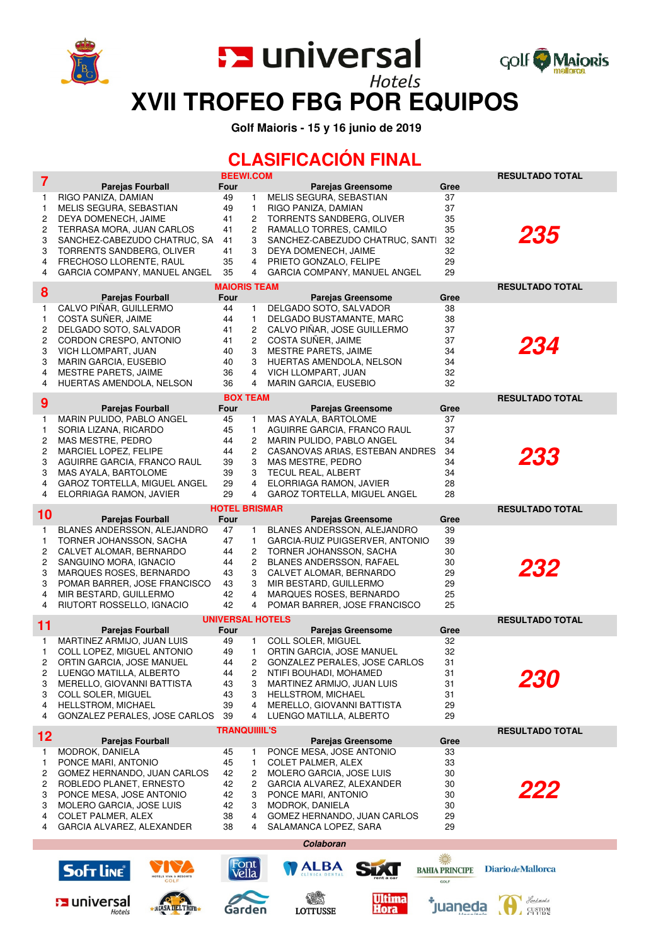

**En universal** 



**XVII TROFEO FBG POR EQUIPOS**

 **Golf Maioris - 15 y 16 junio de 2019**

## **CLASIFICACIÓN FINAL**

| $\overline{7}$ |                                                         | <b>BEEWI.COM</b>                |                                                         |                                    | <b>RESULTADO TOTAL</b>    |
|----------------|---------------------------------------------------------|---------------------------------|---------------------------------------------------------|------------------------------------|---------------------------|
|                | <b>Parejas Fourball</b><br>RIGO PANIZA, DAMIAN          | Four<br>49<br>1                 | <b>Parejas Greensome</b><br>MELIS SEGURA, SEBASTIAN     | Gree<br>37                         |                           |
| 1<br>1         | MELIS SEGURA, SEBASTIAN                                 | 1<br>49                         | RIGO PANIZA, DAMIAN                                     | 37                                 |                           |
| 2              | DEYA DOMENECH, JAIME                                    | $\overline{c}$<br>41            | TORRENTS SANDBERG, OLIVER                               | 35                                 |                           |
| 2              | TERRASA MORA, JUAN CARLOS                               | 41<br>2                         | RAMALLO TORRES, CAMILO                                  | 35                                 | 235                       |
| 3              | SANCHEZ-CABEZUDO CHATRUC, SA                            | 41<br>3                         | SANCHEZ-CABEZUDO CHATRUC, SANTI                         | 32                                 |                           |
| 3              | TORRENTS SANDBERG, OLIVER                               | 41<br>3<br>35                   | DEYA DOMENECH, JAIME                                    | 32                                 |                           |
| 4<br>4         | FRECHOSO LLORENTE, RAUL<br>GARCIA COMPANY, MANUEL ANGEL | 4<br>35<br>4                    | PRIETO GONZALO, FELIPE<br>GARCIA COMPANY, MANUEL ANGEL  | 29<br>29                           |                           |
|                |                                                         | <b>MAIORIS TEAM</b>             |                                                         |                                    | <b>RESULTADO TOTAL</b>    |
| 8              | <b>Parejas Fourball</b>                                 | Four                            | <b>Parejas Greensome</b>                                | Gree                               |                           |
| 1              | CALVO PIÑAR, GUILLERMO                                  | 44<br>1                         | DELGADO SOTO, SALVADOR                                  | 38                                 |                           |
| 1              | COSTA SUÑER, JAIME                                      | 44<br>$\mathbf{1}$              | DELGADO BUSTAMANTE, MARC                                | 38                                 |                           |
| 2              | DELGADO SOTO, SALVADOR                                  | 41<br>2                         | CALVO PIÑAR, JOSE GUILLERMO                             | 37                                 |                           |
| 2<br>3         | CORDON CRESPO, ANTONIO<br>VICH LLOMPART, JUAN           | 2<br>41<br>3<br>40              | COSTA SUÑER, JAIME<br><b>MESTRE PARETS, JAIME</b>       | 37<br>34                           | 234                       |
| 3              | MARIN GARCIA, EUSEBIO                                   | 40<br>3                         | HUERTAS AMENDOLA, NELSON                                | 34                                 |                           |
| 4              | MESTRE PARETS, JAIME                                    | 36<br>4                         | VICH LLOMPART, JUAN                                     | 32                                 |                           |
| 4              | HUERTAS AMENDOLA, NELSON                                | 36<br>4                         | <b>MARIN GARCIA, EUSEBIO</b>                            | 32                                 |                           |
| 9              |                                                         | <b>BOX TEAM</b>                 |                                                         |                                    | <b>RESULTADO TOTAL</b>    |
| 1              | <b>Parejas Fourball</b><br>MARIN PULIDO, PABLO ANGEL    | Four<br>45<br>1                 | <b>Parejas Greensome</b><br>MAS AYALA, BARTOLOME        | Gree<br>37                         |                           |
| 1              | SORIA LIZANA, RICARDO                                   | 45<br>1                         | AGUIRRE GARCIA, FRANCO RAUL                             | 37                                 |                           |
| 2              | MAS MESTRE, PEDRO                                       | 44<br>$\overline{c}$            | MARIN PULIDO, PABLO ANGEL                               | 34                                 |                           |
| 2              | <b>MARCIEL LOPEZ, FELIPE</b>                            | 44<br>2                         | CASANOVAS ARIAS, ESTEBAN ANDRES                         | 34                                 | 233                       |
| 3              | AGUIRRE GARCIA, FRANCO RAUL                             | 39<br>3                         | MAS MESTRE, PEDRO                                       | 34                                 |                           |
| 3              | MAS AYALA, BARTOLOME<br>GAROZ TORTELLA, MIGUEL ANGEL    | 39<br>3<br>29<br>4              | TECUL REAL, ALBERT                                      | 34<br>28                           |                           |
| 4<br>4         | ELORRIAGA RAMON, JAVIER                                 | 29<br>4                         | ELORRIAGA RAMON, JAVIER<br>GAROZ TORTELLA, MIGUEL ANGEL | 28                                 |                           |
|                |                                                         | <b>HOTEL BRISMAR</b>            |                                                         |                                    | <b>RESULTADO TOTAL</b>    |
| 10             | <b>Parejas Fourball</b>                                 | Four                            | <b>Parejas Greensome</b>                                | Gree                               |                           |
| 1              | BLANES ANDERSSON, ALEJANDRO                             | 47<br>1                         | BLANES ANDERSSON, ALEJANDRO                             | 39                                 |                           |
| 1              | TORNER JOHANSSON, SACHA                                 | 47<br>1                         | GARCIA-RUIZ PUIGSERVER, ANTONIO                         | 39                                 |                           |
| 2              | CALVET ALOMAR, BERNARDO                                 | 44<br>2                         | TORNER JOHANSSON, SACHA                                 | 30                                 |                           |
| 2<br>3         | SANGUINO MORA, IGNACIO<br>MARQUES ROSES, BERNARDO       | $\overline{c}$<br>44<br>43<br>3 | BLANES ANDERSSON, RAFAEL<br>CALVET ALOMAR, BERNARDO     | 30<br>29                           | 232                       |
| 3              | POMAR BARRER, JOSE FRANCISCO                            | 43<br>3                         | MIR BESTARD, GUILLERMO                                  | 29                                 |                           |
| 4              | MIR BESTARD, GUILLERMO                                  | 42<br>4                         | MARQUES ROSES, BERNARDO                                 | 25                                 |                           |
| 4              | RIUTORT ROSSELLO, IGNACIO                               | 42<br>4                         | POMAR BARRER, JOSE FRANCISCO                            | 25                                 |                           |
| 11             |                                                         | <b>UNIVERSAL HOTELS</b><br>Four |                                                         | Gree                               | <b>RESULTADO TOTAL</b>    |
| 1              | <b>Parejas Fourball</b><br>MARTINEZ ARMIJO, JUAN LUIS   | 49<br>1.                        | <b>Parejas Greensome</b><br>COLL SOLER, MIGUEL          | 32                                 |                           |
| 1              | COLL LOPEZ, MIGUEL ANTONIO                              | 1<br>49                         | ORTIN GARCIA, JOSE MANUEL                               | 32                                 |                           |
| 2              | ORTIN GARCIA, JOSE MANUEL                               | 44<br>2                         | GONZALEZ PERALES, JOSE CARLOS                           | 31                                 |                           |
| 2              | LUENGO MATILLA, ALBERTO                                 | 44<br>2                         | NTIFI BOUHADI, MOHAMED                                  | 31                                 |                           |
| 3<br>3         | MERELLO, GIOVANNI BATTISTA<br>COLL SOLER, MIGUEL        | 3<br>43<br>43<br>3              | MARTINEZ ARMIJO, JUAN LUIS<br><b>HELLSTROM, MICHAEL</b> | 31<br>31                           |                           |
| 4              | HELLSTROM, MICHAEL                                      | 39<br>4                         | MERELLO, GIOVANNI BATTISTA                              | 29                                 |                           |
| 4              | GONZALEZ PERALES, JOSE CARLOS                           | 39<br>4                         | LUENGO MATILLA, ALBERTO                                 | 29                                 |                           |
| 12             |                                                         | <b>TRANQUIIIIL'S</b>            |                                                         |                                    | <b>RESULTADO TOTAL</b>    |
| 1              | <b>Parejas Fourball</b><br>MODROK, DANIELA              | 45<br>1                         | <b>Parejas Greensome</b><br>PONCE MESA, JOSE ANTONIO    | Gree<br>33                         |                           |
| 1              | PONCE MARI, ANTONIO                                     | 45<br>1                         | <b>COLET PALMER, ALEX</b>                               | 33                                 |                           |
| 2              | GOMEZ HERNANDO, JUAN CARLOS                             | 42<br>2                         | MOLERO GARCIA, JOSE LUIS                                | 30                                 |                           |
| 2              | ROBLEDO PLANET, ERNESTO                                 | 42<br>$\overline{c}$            | GARCIA ALVAREZ, ALEXANDER                               | 30                                 | 222                       |
| 3              | PONCE MESA, JOSE ANTONIO                                | 42<br>3                         | PONCE MARI, ANTONIO                                     | 30                                 |                           |
| 3<br>4         | MOLERO GARCIA, JOSE LUIS<br><b>COLET PALMER, ALEX</b>   | 42<br>3<br>38<br>4              | MODROK, DANIELA<br>GOMEZ HERNANDO, JUAN CARLOS          | 30<br>29                           |                           |
| 4              | GARCIA ALVAREZ, ALEXANDER                               | 38<br>4                         | SALAMANCA LOPEZ, SARA                                   | 29                                 |                           |
|                |                                                         |                                 | Colaboran                                               |                                    |                           |
|                |                                                         |                                 |                                                         |                                    |                           |
|                | <b>Soft Line®</b><br>OTELS VIVA & RESORTS               | Font<br>Vella                   | <b>ALBA</b>                                             | 灤<br><b>BAHIA PRINCIPE</b><br>GOLF | Diario de Mallorca        |
|                | <b>En</b> universal<br>MCASA DEL TROFO<br>Hotels        | Garden                          | <b>Ultima</b><br><b>Hora</b><br><b>LOTTUSSE</b>         | `juaneda                           | Handmade<br><b>CUSTOM</b> |